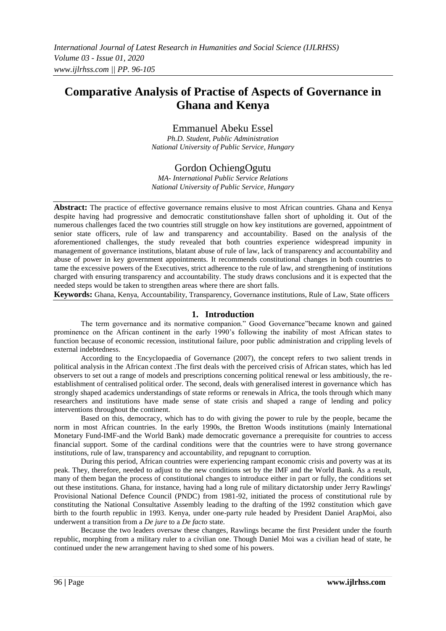# **Comparative Analysis of Practise of Aspects of Governance in Ghana and Kenya**

Emmanuel Abeku Essel

*Ph.D. Student, Public Administration National University of Public Service, Hungary*

# Gordon OchiengOgutu

*MA- International Public Service Relations National University of Public Service, Hungary*

**Abstract:** The practice of effective governance remains elusive to most African countries. Ghana and Kenya despite having had progressive and democratic constitutionshave fallen short of upholding it. Out of the numerous challenges faced the two countries still struggle on how key institutions are governed, appointment of senior state officers, rule of law and transparency and accountability. Based on the analysis of the aforementioned challenges, the study revealed that both countries experience widespread impunity in management of governance institutions, blatant abuse of rule of law, lack of transparency and accountability and abuse of power in key government appointments. It recommends constitutional changes in both countries to tame the excessive powers of the Executives, strict adherence to the rule of law, and strengthening of institutions charged with ensuring transparency and accountability. The study draws conclusions and it is expected that the needed steps would be taken to strengthen areas where there are short falls.

**Keywords:** Ghana, Kenya, Accountability, Transparency, Governance institutions, Rule of Law, State officers

#### **1. Introduction**

The term governance and its normative companion." Good Governance"became known and gained prominence on the African continent in the early 1990"s following the inability of most African states to function because of economic recession, institutional failure, poor public administration and crippling levels of external indebtedness.

According to the Encyclopaedia of Governance (2007), the concept refers to two salient trends in political analysis in the African context .The first deals with the perceived crisis of African states, which has led observers to set out a range of models and prescriptions concerning political renewal or less ambitiously, the reestablishment of centralised political order. The second, deals with generalised interest in governance which has strongly shaped academics understandings of state reforms or renewals in Africa, the tools through which many researchers and institutions have made sense of state crisis and shaped a range of lending and policy interventions throughout the continent.

Based on this, democracy, which has to do with giving the power to rule by the people, became the norm in most African countries. In the early 1990s, the Bretton Woods institutions (mainly International Monetary Fund-IMF-and the World Bank) made democratic governance a prerequisite for countries to access financial support. Some of the cardinal conditions were that the countries were to have strong governance institutions, rule of law, transparency and accountability, and repugnant to corruption.

During this period, African countries were experiencing rampant economic crisis and poverty was at its peak. They, therefore, needed to adjust to the new conditions set by the IMF and the World Bank. As a result, many of them began the process of constitutional changes to introduce either in part or fully, the conditions set out these institutions. Ghana, for instance, having had a long rule of military dictatorship under Jerry Rawlings' Provisional National Defence Council (PNDC) from 1981-92, initiated the process of constitutional rule by constituting the National Consultative Assembly leading to the drafting of the 1992 constitution which gave birth to the fourth republic in 1993. Kenya, under one-party rule headed by President Daniel ArapMoi, also underwent a transition from a *De jure* to a *De facto* state.

Because the two leaders oversaw these changes, Rawlings became the first President under the fourth republic, morphing from a military ruler to a civilian one. Though Daniel Moi was a civilian head of state, he continued under the new arrangement having to shed some of his powers.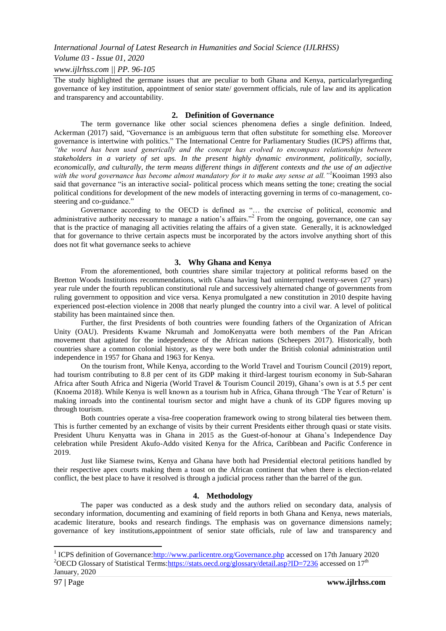#### *Volume 03 - Issue 01, 2020*

#### *www.ijlrhss.com || PP. 96-105*

The study highlighted the germane issues that are peculiar to both Ghana and Kenya, particularlyregarding governance of key institution, appointment of senior state/ government officials, rule of law and its application and transparency and accountability.

#### **2. Definition of Governance**

The term governance like other social sciences phenomena defies a single definition. Indeed, Ackerman (2017) said, "Governance is an ambiguous term that often substitute for something else. Moreover governance is intertwine with politics." The International Centre for Parliamentary Studies (ICPS) affirms that, *"the word has been used generically and the concept has evolved to encompass relationships between stakeholders in a variety of set ups. In the present highly dynamic environment, politically, socially, economically, and culturally, the term means different things in different contexts and the use of an adjective with the word governance has become almost mandatory for it to make any sense at all."<sup>1</sup>*Kooiman 1993 also said that governance "is an interactive social- political process which means setting the tone; creating the social political conditions for development of the new models of interacting governing in terms of co-management, costeering and co-guidance."

Governance according to the OECD is defined as "… the exercise of political, economic and administrative authority necessary to manage a nation's affairs."<sup>2</sup> From the ongoing, governance, one can say that is the practice of managing all activities relating the affairs of a given state. Generally, it is acknowledged that for governance to thrive certain aspects must be incorporated by the actors involve anything short of this does not fit what governance seeks to achieve

## **3. Why Ghana and Kenya**

From the aforementioned, both countries share similar trajectory at political reforms based on the Bretton Woods Institutions recommendations, with Ghana having had uninterrupted twenty-seven (27 years) year rule under the fourth republican constitutional rule and successively alternated change of governments from ruling government to opposition and vice versa. Kenya promulgated a new constitution in 2010 despite having experienced post-election violence in 2008 that nearly plunged the country into a civil war. A level of political stability has been maintained since then.

Further, the first Presidents of both countries were founding fathers of the Organization of African Unity (OAU). Presidents Kwame Nkrumah and JomoKenyatta were both members of the Pan African movement that agitated for the independence of the African nations (Scheepers 2017). Historically, both countries share a common colonial history, as they were both under the British colonial administration until independence in 1957 for Ghana and 1963 for Kenya.

On the tourism front, While Kenya, according to the World Travel and Tourism Council (2019) report, had tourism contributing to 8.8 per cent of its GDP making it third-largest tourism economy in Sub-Saharan Africa after South Africa and Nigeria (World Travel & Tourism Council 2019), Ghana"s own is at 5.5 per cent (Knoema 2018). While Kenya is well known as a tourism hub in Africa, Ghana through "The Year of Return" is making inroads into the continental tourism sector and might have a chunk of its GDP figures moving up through tourism.

Both countries operate a visa-free cooperation framework owing to strong bilateral ties between them. This is further cemented by an exchange of visits by their current Presidents either through quasi or state visits. President Uhuru Kenyatta was in Ghana in 2015 as the Guest-of-honour at Ghana"s Independence Day celebration while President Akufo-Addo visited Kenya for the Africa, Caribbean and Pacific Conference in 2019.

Just like Siamese twins, Kenya and Ghana have both had Presidential electoral petitions handled by their respective apex courts making them a toast on the African continent that when there is election-related conflict, the best place to have it resolved is through a judicial process rather than the barrel of the gun.

#### **4. Methodology**

The paper was conducted as a desk study and the authors relied on secondary data, analysis of secondary information, documenting and examining of field reports in both Ghana and Kenya, news materials, academic literature, books and research findings. The emphasis was on governance dimensions namely; governance of key institutions,appointment of senior state officials, rule of law and transparency and

<sup>1&</sup>lt;br><sup>1</sup> ICPS definition of Governance: http://www.parlicentre.org/Governance.php accessed on 17th January 2020 <sup>2</sup>OECD Glossary of Statistical Terms: https://stats.oecd.org/glossary/detail.asp?ID=7236 accessed on 17<sup>th</sup> January, 2020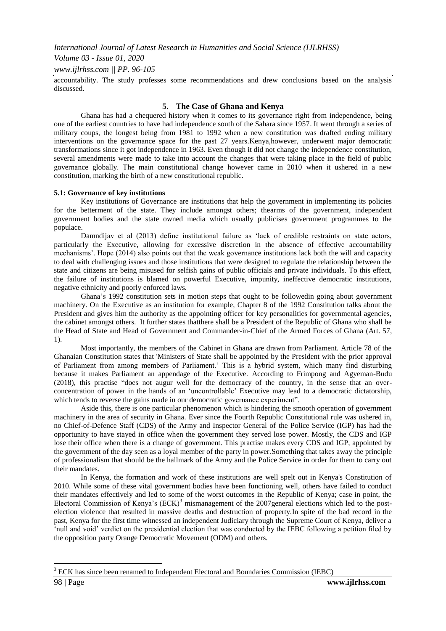## *Volume 03 - Issue 01, 2020*

*www.ijlrhss.com || PP. 96-105*

accountability. The study professes some recommendations and drew conclusions based on the analysis discussed.

#### **5. The Case of Ghana and Kenya**

Ghana has had a chequered history when it comes to its governance right from independence, being one of the earliest countries to have had independence south of the Sahara since 1957. It went through a series of military coups, the longest being from 1981 to 1992 when a new constitution was drafted ending military interventions on the governance space for the past 27 years.Kenya,however, underwent major democratic transformations since it got independence in 1963. Even though it did not change the independence constitution, several amendments were made to take into account the changes that were taking place in the field of public governance globally. The main constitutional change however came in 2010 when it ushered in a new constitution, marking the birth of a new constitutional republic.

#### **5.1: Governance of key institutions**

Key institutions of Governance are institutions that help the government in implementing its policies for the betterment of the state. They include amongst others; thearms of the government, independent government bodies and the state owned media which usually publicises government programmes to the populace.

Damndijav et al (2013) define institutional failure as 'lack of credible restraints on state actors, particularly the Executive, allowing for excessive discretion in the absence of effective accountability mechanisms". Hope (2014) also points out that the weak governance institutions lack both the will and capacity to deal with challenging issues and those institutions that were designed to regulate the relationship between the state and citizens are being misused for selfish gains of public officials and private individuals. To this effect, the failure of institutions is blamed on powerful Executive, impunity, ineffective democratic institutions, negative ethnicity and poorly enforced laws.

Ghana"s 1992 constitution sets in motion steps that ought to be followedin going about government machinery. On the Executive as an institution for example, Chapter 8 of the 1992 Constitution talks about the President and gives him the authority as the appointing officer for key personalities for governmental agencies, the cabinet amongst others. It further states thatthere shall be a President of the Republic of Ghana who shall be the Head of State and Head of Government and Commander-in-Chief of the Armed Forces of Ghana (Art. 57, 1).

Most importantly, the members of the Cabinet in Ghana are drawn from Parliament. Article 78 of the Ghanaian Constitution states that 'Ministers of State shall be appointed by the President with the prior approval of Parliament from among members of Parliament." This is a hybrid system, which many find disturbing because it makes Parliament an appendage of the Executive. According to Frimpong and Agyeman-Budu (2018), this practise "does not augur well for the democracy of the country, in the sense that an overconcentration of power in the hands of an "uncontrollable" Executive may lead to a democratic dictatorship, which tends to reverse the gains made in our democratic governance experiment".

Aside this, there is one particular phenomenon which is hindering the smooth operation of government machinery in the area of security in Ghana. Ever since the Fourth Republic Constitutional rule was ushered in, no Chief-of-Defence Staff (CDS) of the Army and Inspector General of the Police Service (IGP) has had the opportunity to have stayed in office when the government they served lose power. Mostly, the CDS and IGP lose their office when there is a change of government. This practise makes every CDS and IGP, appointed by the government of the day seen as a loyal member of the party in power.Something that takes away the principle of professionalism that should be the hallmark of the Army and the Police Service in order for them to carry out their mandates.

In Kenya, the formation and work of these institutions are well spelt out in Kenya's Constitution of 2010. While some of these vital government bodies have been functioning well, others have failed to conduct their mandates effectively and led to some of the worst outcomes in the Republic of Kenya; case in point, the Electoral Commission of Kenya's  $(ECK)^3$  mismanagement of the 2007general elections which led to the postelection violence that resulted in massive deaths and destruction of property.In spite of the bad record in the past, Kenya for the first time witnessed an independent Judiciary through the Supreme Court of Kenya, deliver a "null and void" verdict on the presidential election that was conducted by the IEBC following a petition filed by the opposition party Orange Democratic Movement (ODM) and others.

1

<sup>3</sup> ECK has since been renamed to Independent Electoral and Boundaries Commission (IEBC)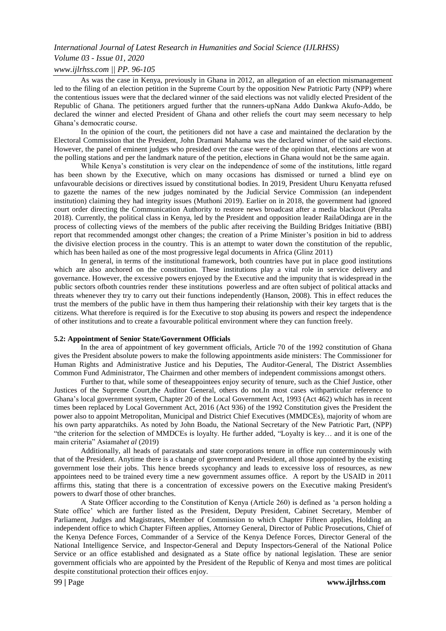# *Volume 03 - Issue 01, 2020*

## *www.ijlrhss.com || PP. 96-105*

As was the case in Kenya, previously in Ghana in 2012, an allegation of an election mismanagement led to the filing of an election petition in the Supreme Court by the opposition New Patriotic Party (NPP) where the contentious issues were that the declared winner of the said elections was not validly elected President of the Republic of Ghana. The petitioners argued further that the runners-upNana Addo Dankwa Akufo-Addo, be declared the winner and elected President of Ghana and other reliefs the court may seem necessary to help Ghana"s democratic course.

In the opinion of the court, the petitioners did not have a case and maintained the declaration by the Electoral Commission that the President, John Dramani Mahama was the declared winner of the said elections. However, the panel of eminent judges who presided over the case were of the opinion that, elections are won at the polling stations and per the landmark nature of the petition, elections in Ghana would not be the same again.

While Kenya"s constitution is very clear on the independence of some of the institutions, little regard has been shown by the Executive, which on many occasions has dismissed or turned a blind eye on unfavourable decisions or directives issued by constitutional bodies. In 2019, President Uhuru Kenyatta refused to gazette the names of the new judges nominated by the Judicial Service Commission (an independent institution) claiming they had integrity issues (Muthoni 2019). Earlier on in 2018, the government had ignored court order directing the Communication Authority to restore news broadcast after a media blackout (Peralta 2018). Currently, the political class in Kenya, led by the President and opposition leader RailaOdinga are in the process of collecting views of the members of the public after receiving the Building Bridges Initiative (BBI) report that recommended amongst other changes; the creation of a Prime Minister"s position in bid to address the divisive election process in the country. This is an attempt to water down the constitution of the republic, which has been hailed as one of the most progressive legal documents in Africa (Glinz 2011)

In general, in terms of the institutional framework, both countries have put in place good institutions which are also anchored on the constitution. These institutions play a vital role in service delivery and governance. However, the excessive powers enjoyed by the Executive and the impunity that is widespread in the public sectors ofboth countries render these institutions powerless and are often subject of political attacks and threats whenever they try to carry out their functions independently (Hanson, 2008). This in effect reduces the trust the members of the public have in them thus hampering their relationship with their key targets that is the citizens. What therefore is required is for the Executive to stop abusing its powers and respect the independence of other institutions and to create a favourable political environment where they can function freely.

#### **5.2: Appointment of Senior State/Government Officials**

In the area of appointment of key government officials, Article 70 of the 1992 constitution of Ghana gives the President absolute powers to make the following appointments aside ministers: The Commissioner for Human Rights and Administrative Justice and his Deputies, The Auditor-General, The District Assemblies Common Fund Administrator, The Chairmen and other members of independent commissions amongst others.

Further to that, while some of theseappointees enjoy security of tenure, such as the Chief Justice, other Justices of the Supreme Court,the Auditor General, others do not.In most cases withparticular reference to Ghana"s local government system, Chapter 20 of the Local Government Act, 1993 (Act 462) which has in recent times been replaced by Local Government Act, 2016 (Act 936) of the 1992 Constitution gives the President the power also to appoint Metropolitan, Municipal and District Chief Executives (MMDCEs), majority of whom are his own party apparatchiks. As noted by John Boadu, the National Secretary of the New Patriotic Part, (NPP) "the criterion for the selection of MMDCEs is loyalty. He further added, "Loyalty is key… and it is one of the main criteria" Asiamah*et al* (2019)

Additionally, all heads of parastatals and state corporations tenure in office run conterminously with that of the President. Anytime there is a change of government and President, all those appointed by the existing government lose their jobs. This hence breeds sycophancy and leads to excessive loss of resources, as new appointees need to be trained every time a new government assumes office. A report by the USAID in 2011 affirms this, stating that there is a concentration of excessive powers on the Executive making President's powers to dwarf those of other branches.

A State Officer according to the Constitution of Kenya (Article 260) is defined as "a person holding a State office" which are further listed as the President, Deputy President, Cabinet Secretary, Member of Parliament, Judges and Magistrates, Member of Commission to which Chapter Fifteen applies, Holding an independent office to which Chapter Fifteen applies, Attorney General, Director of Public Prosecutions, Chief of the Kenya Defence Forces, Commander of a Service of the Kenya Defence Forces, Director General of the National Intelligence Service, and Inspector-General and Deputy Inspectors-General of the National Police Service or an office established and designated as a State office by national legislation. These are senior government officials who are appointed by the President of the Republic of Kenya and most times are political despite constitutional protection their offices enjoy.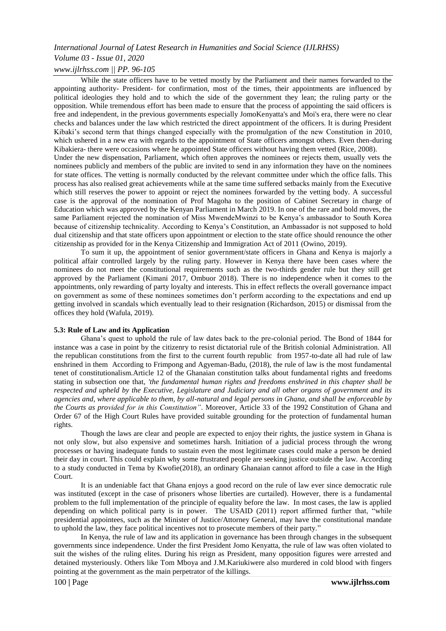# *International Journal of Latest Research in Humanities and Social Science (IJLRHSS) Volume 03 - Issue 01, 2020*

## *www.ijlrhss.com || PP. 96-105*

While the state officers have to be vetted mostly by the Parliament and their names forwarded to the appointing authority- President- for confirmation, most of the times, their appointments are influenced by political ideologies they hold and to which the side of the government they lean; the ruling party or the opposition. While tremendous effort has been made to ensure that the process of appointing the said officers is free and independent, in the previous governments especially JomoKenyatta's and Moi's era, there were no clear checks and balances under the law which restricted the direct appointment of the officers. It is during President Kibaki's second term that things changed especially with the promulgation of the new Constitution in 2010, which ushered in a new era with regards to the appointment of State officers amongst others. Even then-during Kibakiera- there were occasions where he appointed State officers without having them vetted (Rice, 2008). Under the new dispensation, Parliament, which often approves the nominees or rejects them, usually vets the nominees publicly and members of the public are invited to send in any information they have on the nominees for state offices. The vetting is normally conducted by the relevant committee under which the office falls. This process has also realised great achievements while at the same time suffered setbacks mainly from the Executive which still reserves the power to appoint or reject the nominees forwarded by the vetting body. A successful case is the approval of the nomination of Prof Magoha to the position of Cabinet Secretary in charge of Education which was approved by the Kenyan Parliament in March 2019. In one of the rare and bold moves, the same Parliament rejected the nomination of Miss MwendeMwinzi to be Kenya"s ambassador to South Korea because of citizenship technicality. According to Kenya"s Constitution, an Ambassador is not supposed to hold dual citizenship and that state officers upon appointment or election to the state office should renounce the other citizenship as provided for in the Kenya Citizenship and Immigration Act of 2011 (Owino, 2019).

To sum it up, the appointment of senior government/state officers in Ghana and Kenya is majorly a political affair controlled largely by the ruling party. However in Kenya there have been cases where the nominees do not meet the constitutional requirements such as the two-thirds gender rule but they still get approved by the Parliament (Kimani 2017, Ombuor 2018). There is no independence when it comes to the appointments, only rewarding of party loyalty and interests. This in effect reflects the overall governance impact on government as some of these nominees sometimes don"t perform according to the expectations and end up getting involved in scandals which eventually lead to their resignation (Richardson, 2015) or dismissal from the offices they hold (Wafula, 2019).

#### **5.3: Rule of Law and its Application**

Ghana"s quest to uphold the rule of law dates back to the pre-colonial period. The Bond of 1844 for instance was a case in point by the citizenry to resist dictatorial rule of the British colonial Administration. All the republican constitutions from the first to the current fourth republic from 1957-to-date all had rule of law enshrined in them According to Frimpong and Agyeman-Badu, (2018), the rule of law is the most fundamental tenet of constitutionalism.Article 12 of the Ghanaian constitution talks about fundamental rights and freedoms stating in subsection one that, *'the fundamental human rights and freedoms enshrined in this chapter shall be respected and upheld by the Executive, Legislature and Judiciary and all other organs of government and its agencies and, where applicable to them, by all-natural and legal persons in Ghana, and shall be enforceable by the Courts as provided for in this Constitution"*. Moreover, Article 33 of the 1992 Constitution of Ghana and Order 67 of the High Court Rules have provided suitable grounding for the protection of fundamental human rights.

Though the laws are clear and people are expected to enjoy their rights, the justice system in Ghana is not only slow, but also expensive and sometimes harsh. Initiation of a judicial process through the wrong processes or having inadequate funds to sustain even the most legitimate cases could make a person be denied their day in court. This could explain why some frustrated people are seeking justice outside the law. According to a study conducted in Tema by Kwofie(2018), an ordinary Ghanaian cannot afford to file a case in the High Court.

It is an undeniable fact that Ghana enjoys a good record on the rule of law ever since democratic rule was instituted (except in the case of prisoners whose liberties are curtailed). However, there is a fundamental problem to the full implementation of the principle of equality before the law. In most cases, the law is applied depending on which political party is in power. The USAID (2011) report affirmed further that, "while presidential appointees, such as the Minister of Justice/Attorney General, may have the constitutional mandate to uphold the law, they face political incentives not to prosecute members of their party."

In Kenya, the rule of law and its application in governance has been through changes in the subsequent governments since independence. Under the first President Jomo Kenyatta, the rule of law was often violated to suit the wishes of the ruling elites. During his reign as President, many opposition figures were arrested and detained mysteriously. Others like Tom Mboya and J.M.Kariukiwere also murdered in cold blood with fingers pointing at the government as the main perpetrator of the killings.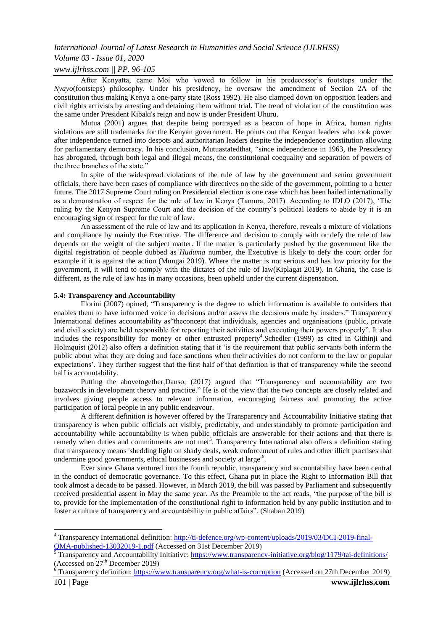## *Volume 03 - Issue 01, 2020*

#### *www.ijlrhss.com || PP. 96-105*

After Kenyatta, came Moi who vowed to follow in his predecessor"s footsteps under the *Nyayo*(footsteps) philosophy. Under his presidency, he oversaw the amendment of Section 2A of the constitution thus making Kenya a one-party state (Ross 1992). He also clamped down on opposition leaders and civil rights activists by arresting and detaining them without trial. The trend of violation of the constitution was the same under President Kibaki's reign and now is under President Uhuru.

Mutua (2001) argues that despite being portrayed as a beacon of hope in Africa, human rights violations are still trademarks for the Kenyan government. He points out that Kenyan leaders who took power after independence turned into despots and authoritarian leaders despite the independence constitution allowing for parliamentary democracy. In his conclusion, Mutuastatedthat, "since independence in 1963, the Presidency has abrogated, through both legal and illegal means, the constitutional coequality and separation of powers of the three branches of the state."

In spite of the widespread violations of the rule of law by the government and senior government officials, there have been cases of compliance with directives on the side of the government, pointing to a better future. The 2017 Supreme Court ruling on Presidential election is one case which has been hailed internationally as a demonstration of respect for the rule of law in Kenya (Tamura, 2017). According to IDLO (2017), "The ruling by the Kenyan Supreme Court and the decision of the country"s political leaders to abide by it is an encouraging sign of respect for the rule of law.

An assessment of the rule of law and its application in Kenya, therefore, reveals a mixture of violations and compliance by mainly the Executive. The difference and decision to comply with or defy the rule of law depends on the weight of the subject matter. If the matter is particularly pushed by the government like the digital registration of people dubbed as *Huduma* number, the Executive is likely to defy the court order for example if it is against the action (Mungai 2019). Where the matter is not serious and has low priority for the government, it will tend to comply with the dictates of the rule of law(Kiplagat 2019). In Ghana, the case is different, as the rule of law has in many occasions, been upheld under the current dispensation.

#### **5.4: Transparency and Accountability**

Florini (2007) opined, "Transparency is the degree to which information is available to outsiders that enables them to have informed voice in decisions and/or assess the decisions made by insiders." Transparency International defines accountability as"theconcept that individuals, agencies and organisations (public, private and civil society) are held responsible for reporting their activities and executing their powers properly". It also includes the responsibility for money or other entrusted property<sup>4</sup>. Schedler (1999) as cited in Githinji and Holmquist (2012) also offers a definition stating that it "is the requirement that public servants both inform the public about what they are doing and face sanctions when their activities do not conform to the law or popular expectations". They further suggest that the first half of that definition is that of transparency while the second half is accountability.

Putting the abovetogether,Danso, (2017) argued that "Transparency and accountability are two buzzwords in development theory and practice." He is of the view that the two concepts are closely related and involves giving people access to relevant information, encouraging fairness and promoting the active participation of local people in any public endeavour.

A different definition is however offered by the Transparency and Accountability Initiative stating that transparency is when public officials act visibly, predictably, and understandably to promote participation and accountability while accountability is when public officials are answerable for their actions and that there is remedy when duties and commitments are not met<sup>5</sup>. Transparency International also offers a definition stating that transparency means 'shedding light on shady deals, weak enforcement of rules and other illicit practises that undermine good governments, ethical businesses and society at large'<sup>6</sup> .

Ever since Ghana ventured into the fourth republic, transparency and accountability have been central in the conduct of democratic governance. To this effect, Ghana put in place the Right to Information Bill that took almost a decade to be passed. However, in March 2019, the bill was passed by Parliament and subsequently received presidential assent in May the same year. As the Preamble to the act reads, "the purpose of the bill is to, provide for the implementation of the constitutional right to information held by any public institution and to foster a culture of transparency and accountability in public affairs". (Shaban 2019)

 $\overline{\phantom{a}}$ 

<sup>&</sup>lt;sup>4</sup> Transparency International definition: [http://ti-defence.org/wp-content/uploads/2019/03/DCI-2019-final-](http://ti-defence.org/wp-content/uploads/2019/03/DCI-2019-final-QMA-published-13032019-1.pdf)[QMA-published-13032019-1.pdf](http://ti-defence.org/wp-content/uploads/2019/03/DCI-2019-final-QMA-published-13032019-1.pdf) (Accessed on 31st December 2019)

<sup>5</sup> Transparency and Accountability Initiative:<https://www.transparency-initiative.org/blog/1179/tai-definitions/> (Accessed on  $27<sup>th</sup>$  December 2019)

<sup>&</sup>lt;sup>6</sup> Transparency definition:<https://www.transparency.org/what-is-corruption> (Accessed on 27th December 2019)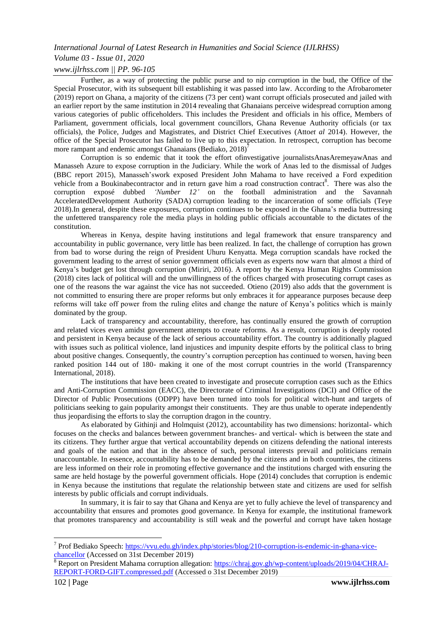## *Volume 03 - Issue 01, 2020*

### *www.ijlrhss.com || PP. 96-105*

Further, as a way of protecting the public purse and to nip corruption in the bud, the Office of the Special Prosecutor, with its subsequent bill establishing it was passed into law. According to the Afrobarometer (2019) report on Ghana, a majority of the citizens (73 per cent) want corrupt officials prosecuted and jailed with an earlier report by the same institution in 2014 revealing that Ghanaians perceive widespread corruption among various categories of public officeholders. This includes the President and officials in his office, Members of Parliament, government officials, local government councillors, Ghana Revenue Authority officials (or tax officials), the Police, Judges and Magistrates, and District Chief Executives (Atto*et al* 2014). However, the office of the Special Prosecutor has failed to live up to this expectation. In retrospect, corruption has become more rampant and endemic amongst Ghanaians (Bediako,  $2018$ )<sup>7</sup>

Corruption is so endemic that it took the effort ofinvestigative journalistsAnasAremeyawAnas and Manasseh Azure to expose corruption in the Judiciary. While the work of Anas led to the dismissal of Judges (BBC report 2015), Manasseh"swork exposed President John Mahama to have received a Ford expedition vehicle from a Boukinabecontractor and in return gave him a road construction contract<sup>8</sup>. There was also the corruption exposé dubbed *"Number 12"* on the football administration and the Savannah AcceleratedDevelopment Authority (SADA) corruption leading to the incarceration of some officials (Teye 2018).In general, despite these exposures, corruption continues to be exposed in the Ghana"s media buttressing the unfettered transparency role the media plays in holding public officials accountable to the dictates of the constitution.

Whereas in Kenya, despite having institutions and legal framework that ensure transparency and accountability in public governance, very little has been realized. In fact, the challenge of corruption has grown from bad to worse during the reign of President Uhuru Kenyatta. Mega corruption scandals have rocked the government leading to the arrest of senior government officials even as experts now warn that almost a third of Kenya"s budget get lost through corruption (Miriri, 2016). A report by the Kenya Human Rights Commission (2018) cites lack of political will and the unwillingness of the offices charged with prosecuting corrupt cases as one of the reasons the war against the vice has not succeeded. Otieno (2019) also adds that the government is not committed to ensuring there are proper reforms but only embraces it for appearance purposes because deep reforms will take off power from the ruling elites and change the nature of Kenya"s politics which is mainly dominated by the group.

Lack of transparency and accountability, therefore, has continually ensured the growth of corruption and related vices even amidst government attempts to create reforms. As a result, corruption is deeply rooted and persistent in Kenya because of the lack of serious accountability effort. The country is additionally plagued with issues such as political violence, land injustices and impunity despite efforts by the political class to bring about positive changes. Consequently, the country"s corruption perception has continued to worsen, having been ranked position 144 out of 180- making it one of the most corrupt countries in the world (Transparenncy International, 2018).

The institutions that have been created to investigate and prosecute corruption cases such as the Ethics and Anti-Corruption Commission (EACC), the Directorate of Criminal Investigations (DCI) and Office of the Director of Public Prosecutions (ODPP) have been turned into tools for political witch-hunt and targets of politicians seeking to gain popularity amongst their constituents. They are thus unable to operate independently thus jeopardising the efforts to slay the corruption dragon in the country.

As elaborated by Githinji and Holmquist (2012), accountability has two dimensions: horizontal- which focuses on the checks and balances between government branches- and vertical- which is between the state and its citizens. They further argue that vertical accountability depends on citizens defending the national interests and goals of the nation and that in the absence of such, personal interests prevail and politicians remain unaccountable. In essence, accountability has to be demanded by the citizens and in both countries, the citizens are less informed on their role in promoting effective governance and the institutions charged with ensuring the same are held hostage by the powerful government officials. Hope (2014) concludes that corruption is endemic in Kenya because the institutions that regulate the relationship between state and citizens are used for selfish interests by public officials and corrupt individuals.

In summary, it is fair to say that Ghana and Kenya are yet to fully achieve the level of transparency and accountability that ensures and promotes good governance. In Kenya for example, the institutional framework that promotes transparency and accountability is still weak and the powerful and corrupt have taken hostage

1

<sup>&</sup>lt;sup>7</sup> Prof Bediako Speech: [https://vvu.edu.gh/index.php/stories/blog/210-corruption-is-endemic-in-ghana-vice](https://vvu.edu.gh/index.php/stories/blog/210-corruption-is-endemic-in-ghana-vice-chancellor)[chancellor](https://vvu.edu.gh/index.php/stories/blog/210-corruption-is-endemic-in-ghana-vice-chancellor) (Accessed on 31st December 2019)

<sup>8</sup> Report on President Mahama corruption allegation: [https://chraj.gov.gh/wp-content/uploads/2019/04/CHRAJ-](https://chraj.gov.gh/wp-content/uploads/2019/04/CHRAJ-REPORT-FORD-GIFT.compressed.pdf)[REPORT-FORD-GIFT.compressed.pdf](https://chraj.gov.gh/wp-content/uploads/2019/04/CHRAJ-REPORT-FORD-GIFT.compressed.pdf) (Accessed o 31st December 2019)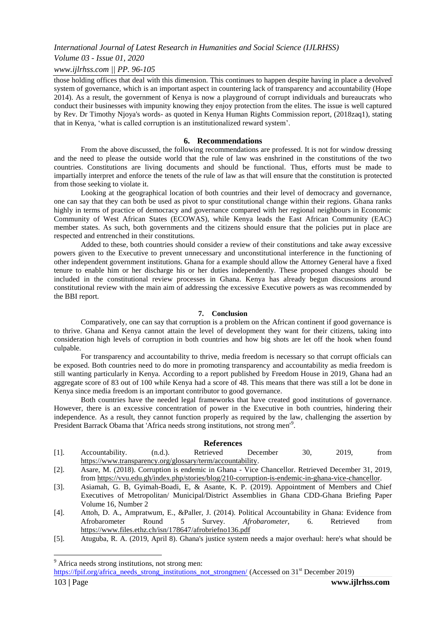*Volume 03 - Issue 01, 2020*

#### *www.ijlrhss.com || PP. 96-105*

those holding offices that deal with this dimension. This continues to happen despite having in place a devolved system of governance, which is an important aspect in countering lack of transparency and accountability (Hope 2014). As a result, the government of Kenya is now a playground of corrupt individuals and bureaucrats who conduct their businesses with impunity knowing they enjoy protection from the elites. The issue is well captured by Rev. Dr Timothy Njoya's words- as quoted in Kenya Human Rights Commission report, (2018zaq1), stating that in Kenya, "what is called corruption is an institutionalized reward system".

#### **6. Recommendations**

From the above discussed, the following recommendations are professed. It is not for window dressing and the need to please the outside world that the rule of law was enshrined in the constitutions of the two countries. Constitutions are living documents and should be functional. Thus, efforts must be made to impartially interpret and enforce the tenets of the rule of law as that will ensure that the constitution is protected from those seeking to violate it.

Looking at the geographical location of both countries and their level of democracy and governance, one can say that they can both be used as pivot to spur constitutional change within their regions. Ghana ranks highly in terms of practice of democracy and governance compared with her regional neighbours in Economic Community of West African States (ECOWAS), while Kenya leads the East African Community (EAC) member states. As such, both governments and the citizens should ensure that the policies put in place are respected and entrenched in their constitutions.

Added to these, both countries should consider a review of their constitutions and take away excessive powers given to the Executive to prevent unnecessary and unconstitutional interference in the functioning of other independent government institutions. Ghana for a example should allow the Attorney General have a fixed tenure to enable him or her discharge his or her duties independently. These proposed changes should be included in the constitutional review processes in Ghana. Kenya has already begun discussions around constitutional review with the main aim of addressing the excessive Executive powers as was recommended by the BBI report.

#### **7. Conclusion**

Comparatively, one can say that corruption is a problem on the African continent if good governance is to thrive. Ghana and Kenya cannot attain the level of development they want for their citizens, taking into consideration high levels of corruption in both countries and how big shots are let off the hook when found culpable.

For transparency and accountability to thrive, media freedom is necessary so that corrupt officials can be exposed. Both countries need to do more in promoting transparency and accountability as media freedom is still wanting particularly in Kenya. According to a report published by Freedom House in 2019, Ghana had an aggregate score of 83 out of 100 while Kenya had a score of 48. This means that there was still a lot be done in Kenya since media freedom is an important contributor to good governance.

Both countries have the needed legal frameworks that have created good institutions of governance. However, there is an excessive concentration of power in the Executive in both countries, hindering their independence. As a result, they cannot function properly as required by the law, challenging the assertion by President Barrack Obama that 'Africa needs strong institutions, not strong men'<sup>9</sup>.

#### **References**

| Accountability.                                            | (n.d.). | Retrieved | December |  | 2019. | trom |
|------------------------------------------------------------|---------|-----------|----------|--|-------|------|
| https://www.transparency.org/glossary/term/accountability. |         |           |          |  |       |      |

[2]. Asare, M. (2018). Corruption is endemic in Ghana - Vice Chancellor. Retrieved December 31, 2019, from [https://vvu.edu.gh/index.php/stories/blog/210-corruption-is-endemic-in-ghana-vice-chancellor.](https://vvu.edu.gh/index.php/stories/blog/210-corruption-is-endemic-in-ghana-vice-chancellor) 

- [3]. Asiamah, G. B, Gyimah-Boadi, E, & Asante, K. P. (2019). Appointment of Members and Chief Executives of Metropolitan/ Municipal/District Assemblies in Ghana CDD-Ghana Briefing Paper Volume 16, Number 2
- [4]. Attoh, D. A., Ampratwum, E., &Paller, J. (2014). Political Accountability in Ghana: Evidence from Afrobarometer Round 5 Survey. *Afrobarometer*, 6. Retrieved from <https://www.files.ethz.ch/isn/178647/afrobriefno136.pdf>
- [5]. Atuguba, R. A. (2019, April 8). Ghana's justice system needs a major overhaul: here's what should be

1

<sup>9</sup> Africa needs strong institutions, not strong men:

[https://fpif.org/africa\\_needs\\_strong\\_institutions\\_not\\_strongmen/](https://fpif.org/africa_needs_strong_institutions_not_strongmen/) (Accessed on 31<sup>st</sup> December 2019)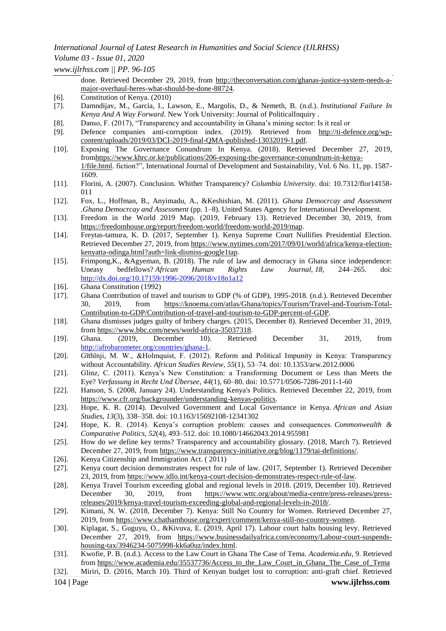## *International Journal of Latest Research in Humanities and Social Science (IJLRHSS) Volume 03 - Issue 01, 2020*

*www.ijlrhss.com || PP. 96-105*

done. Retrieved December 29, 2019, from [http://theconversation.com/ghanas-justice-system-needs-a](http://theconversation.com/ghanas-justice-system-needs-a-major-overhaul-heres-what-should-be-done-88724)[major-overhaul-heres-what-should-be-done-88724.](http://theconversation.com/ghanas-justice-system-needs-a-major-overhaul-heres-what-should-be-done-88724)

- [6]. Constitution of Kenya. (2010)
- [7]. Damndijav, M., Garcia, I., Lawson, E., Margolis, D., & Nemeth, B. (n.d.). *Institutional Failure In Kenya And A Way Forward*. New York University: Journal of PoliticalInquiry .
- [8]. Danso, F. (2017), "Transparency and accountability in Ghana"s mining sector: Is it real or
- [9]. Defence companies anti-corruption index. (2019). Retrieved from [http://ti-defence.org/wp](http://ti-defence.org/wp-content/uploads/2019/03/DCI-2019-final-QMA-published-13032019-1.pdf)[content/uploads/2019/03/DCI-2019-final-QMA-published-13032019-1.pdf.](http://ti-defence.org/wp-content/uploads/2019/03/DCI-2019-final-QMA-published-13032019-1.pdf)
- [10]. Exposing The Governance Conundrum In Kenya. (2018). Retrieved December 27, 2019, fro[mhttps://www.khrc.or.ke/publications/206-exposing-the-governance-conundrum-in-kenya-](https://www.khrc.or.ke/publications/206-exposing-the-governance-conundrum-in-kenya-1/file.html)[1/file.html.](https://www.khrc.or.ke/publications/206-exposing-the-governance-conundrum-in-kenya-1/file.html) fiction?", International Journal of Development and Sustainability, Vol. 6 No. 11, pp. 1587- 1609.
- [11]. Florini, A. (2007). Conclusion. Whither Transparency? *Columbia University*. doi: 10.7312/flor14158- 011
- [12]. Fox, L., Hoffman, B., Anyimadu, A., &Keshishian, M. (2011). *Ghana Democrcay and Assessment*  .*Ghana Democrcay and Assessment* (pp. 1–8). United States Agency for International Development.
- [13]. Freedom in the World 2019 Map. (2019, February 13). Retrieved December 30, 2019, from [https://freedomhouse.org/report/freedom-world/freedom-world-2019/map.](https://freedomhouse.org/report/freedom-world/freedom-world-2019/map)
- [14]. Freytas-tamura, K. D. (2017, September 1). Kenya Supreme Court Nullifies Presidential Election. Retrieved December 27, 2019, from [https://www.nytimes.com/2017/09/01/world/africa/kenya-election](https://www.nytimes.com/2017/09/01/world/africa/kenya-election-kenyatta-odinga.html?auth=link-dismiss-google1tap)[kenyatta-odinga.html?auth=link-dismiss-google1tap.](https://www.nytimes.com/2017/09/01/world/africa/kenya-election-kenyatta-odinga.html?auth=link-dismiss-google1tap)
- [15]. Frimpong,K., &Agyeman, B. (2018). The rule of law and democracy in Ghana since independence: Uneasy bedfellows? *African Human Rights Law Journal, 18*, 244–265. doi: <http://dx.doi.org/10.17159/1996-2096/2018/v18n1a12>
- [16]. Ghana Constitution (1992)
- [17]. Ghana Contribution of travel and tourism to GDP (% of GDP), 1995-2018. (n.d.). Retrieved December 30, 2019, from [https://knoema.com/atlas/Ghana/topics/Tourism/Travel-and-Tourism-Total-](https://knoema.com/atlas/Ghana/topics/Tourism/Travel-and-Tourism-Total-Contribution-to-GDP/Contribution-of-travel-and-tourism-to-GDP-percent-of-GDP)[Contribution-to-GDP/Contribution-of-travel-and-tourism-to-GDP-percent-of-GDP.](https://knoema.com/atlas/Ghana/topics/Tourism/Travel-and-Tourism-Total-Contribution-to-GDP/Contribution-of-travel-and-tourism-to-GDP-percent-of-GDP)
- [18]. Ghana dismisses judges guilty of bribery charges. (2015, December 8). Retrieved December 31, 2019, from [https://www.bbc.com/news/world-africa-35037318.](https://www.bbc.com/news/world-africa-35037318)
- [19]. Ghana. (2019, December 10). Retrieved December 31, 2019, from [http://afrobarometer.org/countries/ghana-1.](http://afrobarometer.org/countries/ghana-1)
- [20]. Gīthīnji, M. W., &Holmquist, F. (2012). Reform and Political Impunity in Kenya: Transparency without Accountability. *African Studies Review*, *55*(1), 53–74. doi: 10.1353/arw.2012.0006
- [21]. Glinz, C. (2011). Kenya"s New Constitution: a Transforming Document or Less than Meets the Eye? *Verfassung in Recht Und Übersee*, *44*(1), 60–80. doi: 10.5771/0506-7286-2011-1-60
- [22]. Hanson, S. (2008, January 24). Understanding Kenya's Politics. Retrieved December 22, 2019, from [https://www.cfr.org/backgrounder/understanding-kenyas-politics.](https://www.cfr.org/backgrounder/understanding-kenyas-politics)
- [23]. Hope, K. R. (2014). Devolved Government and Local Governance in Kenya. *African and Asian Studies*, *13*(3), 338–358. doi: 10.1163/15692108-12341302
- [24]. Hope, K. R. (2014). Kenya"s corruption problem: causes and consequences. *Commonwealth & Comparative Politics*, *52*(4), 493–512. doi: 10.1080/14662043.2014.955981
- [25]. How do we define key terms? Transparency and accountability glossary. (2018, March 7). Retrieved December 27, 2019, from [https://www.transparency-initiative.org/blog/1179/tai-definitions/.](https://www.transparency-initiative.org/blog/1179/tai-definitions/)
- [26]. Kenya Citizenship and Immigration Act. ( 2011)
- [27]. Kenya court decision demonstrates respect for rule of law. (2017, September 1). Retrieved December 23, 2019, from [https://www.idlo.int/kenya-court-decision-demonstrates-respect-rule-of-law.](https://www.idlo.int/kenya-court-decision-demonstrates-respect-rule-of-law)
- [28]. Kenya Travel Tourism exceeding global and regional levels in 2018. (2019, December 10). Retrieved December 30, 2019, from [https://www.wttc.org/about/media-centre/press-releases/press](https://www.wttc.org/about/media-centre/press-releases/press-releases/2019/kenya-travel-tourism-exceeding-global-and-regional-levels-in-2018/)[releases/2019/kenya-travel-tourism-exceeding-global-and-regional-levels-in-2018/.](https://www.wttc.org/about/media-centre/press-releases/press-releases/2019/kenya-travel-tourism-exceeding-global-and-regional-levels-in-2018/)
- [29]. Kimani, N. W. (2018, December 7). Kenya: Still No Country for Women. Retrieved December 27, 2019, from [https://www.chathamhouse.org/expert/comment/kenya-still-no-country-women.](https://www.chathamhouse.org/expert/comment/kenya-still-no-country-women)
- [30]. Kiplagat, S., Guguyu, O., &Kivuva, E. (2019, April 17). Labour court halts housing levy. Retrieved December 27, 2019, from [https://www.businessdailyafrica.com/economy/Labour-court-suspends](https://www.businessdailyafrica.com/economy/Labour-court-suspends-housing-tax/3946234-5075998-kk6a0uz/index.html)[housing-tax/3946234-5075998-kk6a0uz/index.html.](https://www.businessdailyafrica.com/economy/Labour-court-suspends-housing-tax/3946234-5075998-kk6a0uz/index.html)
- [31]. Kwofie, P. B. (n.d.). Access to the Law Court in Ghana The Case of Tema. *Academia.edu*, 9. Retrieved from [https://www.academia.edu/35537736/Access\\_to\\_the\\_Law\\_Court\\_in\\_Ghana\\_The\\_Case\\_of\\_Tema](https://www.academia.edu/35537736/Access_to_the_Law_Court_in_Ghana_The_Case_of_Tema)
- [32]. Miriri, D. (2016, March 10). Third of Kenyan budget lost to corruption: anti-graft chief. Retrieved